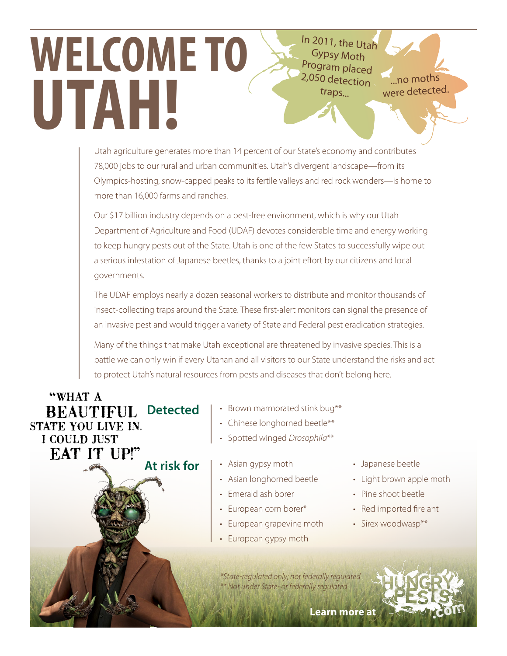In 2011, the Utah Gypsy Moth Program placed 2,050 detection traps...

...no moths were detected.

Utah agriculture generates more than 14 percent of our State's economy and contributes 78,000 jobs to our rural and urban communities. Utah's divergent landscape—from its Olympics-hosting, snow-capped peaks to its fertile valleys and red rock wonders—is home to more than 16,000 farms and ranches.

Our \$17 billion industry depends on a pest-free environment, which is why our Utah Department of Agriculture and Food (UDAF) devotes considerable time and energy working to keep hungry pests out of the State. Utah is one of the few States to successfully wipe out a serious infestation of Japanese beetles, thanks to a joint effort by our citizens and local governments.

The UDAF employs nearly a dozen seasonal workers to distribute and monitor thousands of insect-collecting traps around the State. These first-alert monitors can signal the presence of an invasive pest and would trigger a variety of State and Federal pest eradication strategies.

Many of the things that make Utah exceptional are threatened by invasive species. This is a battle we can only win if every Utahan and all visitors to our State understand the risks and act to protect Utah's natural resources from pests and diseases that don't belong here.

"WHAT A **BEAUTIFUL Detected** STATE YOU LIVE IN. **I COULD JUST EAT IT UP!" At risk for**

**WELCOME TO**

**UTAH!**

- Brown marmorated stink bug\*\*
- Chinese longhorned beetle\*\*
- Spotted winged *Drosophila*\*\*
- Asian gypsy moth
- Asian longhorned beetle
- Emerald ash borer
- European corn borer\*
- European grapevine moth
- European gypsy moth
- Japanese beetle
- Light brown apple moth
- Pine shoot beetle
- Red imported fire ant
- Sirex woodwasp\*\*

*\*State-regulated only; not federally regulated \*\* Not under State- or federally regulated*

**Learn mor[e at](http://www.hungrypests.com)**